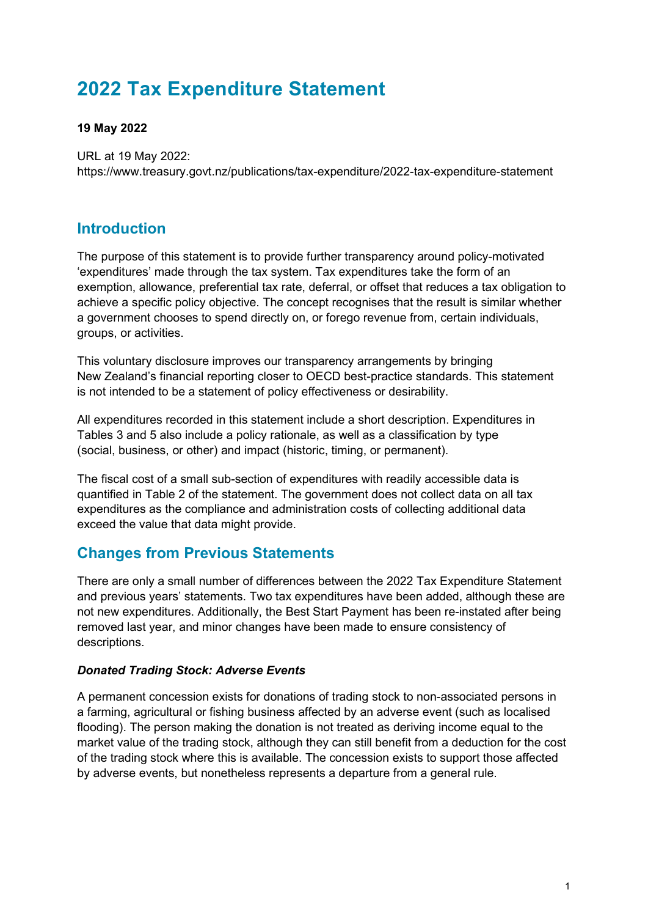## **2022 Tax Expenditure Statement**

#### **19 May 2022**

URL at 19 May 2022: <https://www.treasury.govt.nz/publications/tax-expenditure/2022-tax-expenditure-statement>

### **Introduction**

The purpose of this statement is to provide further transparency around policy-motivated 'expenditures' made through the tax system. Tax expenditures take the form of an exemption, allowance, preferential tax rate, deferral, or offset that reduces a tax obligation to achieve a specific policy objective. The concept recognises that the result is similar whether a government chooses to spend directly on, or forego revenue from, certain individuals, groups, or activities.

This voluntary disclosure improves our transparency arrangements by bringing New Zealand's financial reporting closer to OECD best-practice standards. This statement is not intended to be a statement of policy effectiveness or desirability.

All expenditures recorded in this statement include a short description. Expenditures in Tables 3 and 5 also include a policy rationale, as well as a classification by type (social, business, or other) and impact (historic, timing, or permanent).

The fiscal cost of a small sub-section of expenditures with readily accessible data is quantified in Table 2 of the statement. The government does not collect data on all tax expenditures as the compliance and administration costs of collecting additional data exceed the value that data might provide.

## **Changes from Previous Statements**

There are only a small number of differences between the 2022 Tax Expenditure Statement and previous years' statements. Two tax expenditures have been added, although these are not new expenditures. Additionally, the Best Start Payment has been re-instated after being removed last year, and minor changes have been made to ensure consistency of descriptions.

#### *Donated Trading Stock: Adverse Events*

A permanent concession exists for donations of trading stock to non-associated persons in a farming, agricultural or fishing business affected by an adverse event (such as localised flooding). The person making the donation is not treated as deriving income equal to the market value of the trading stock, although they can still benefit from a deduction for the cost of the trading stock where this is available. The concession exists to support those affected by adverse events, but nonetheless represents a departure from a general rule.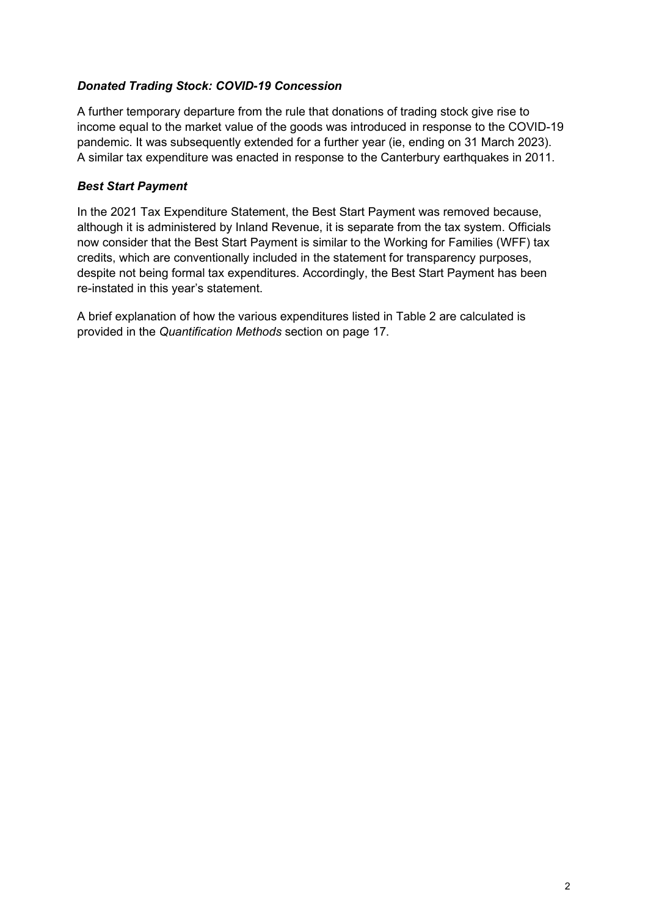#### *Donated Trading Stock: COVID-19 Concession*

A further temporary departure from the rule that donations of trading stock give rise to income equal to the market value of the goods was introduced in response to the COVID-19 pandemic. It was subsequently extended for a further year (ie, ending on 31 March 2023). A similar tax expenditure was enacted in response to the Canterbury earthquakes in 2011.

#### *Best Start Payment*

In the 2021 Tax Expenditure Statement, the Best Start Payment was removed because, although it is administered by Inland Revenue, it is separate from the tax system. Officials now consider that the Best Start Payment is similar to the Working for Families (WFF) tax credits, which are conventionally included in the statement for transparency purposes, despite not being formal tax expenditures. Accordingly, the Best Start Payment has been re-instated in this year's statement.

A brief explanation of how the various expenditures listed in Table 2 are calculated is provided in the *Quantification Methods* section on page 17.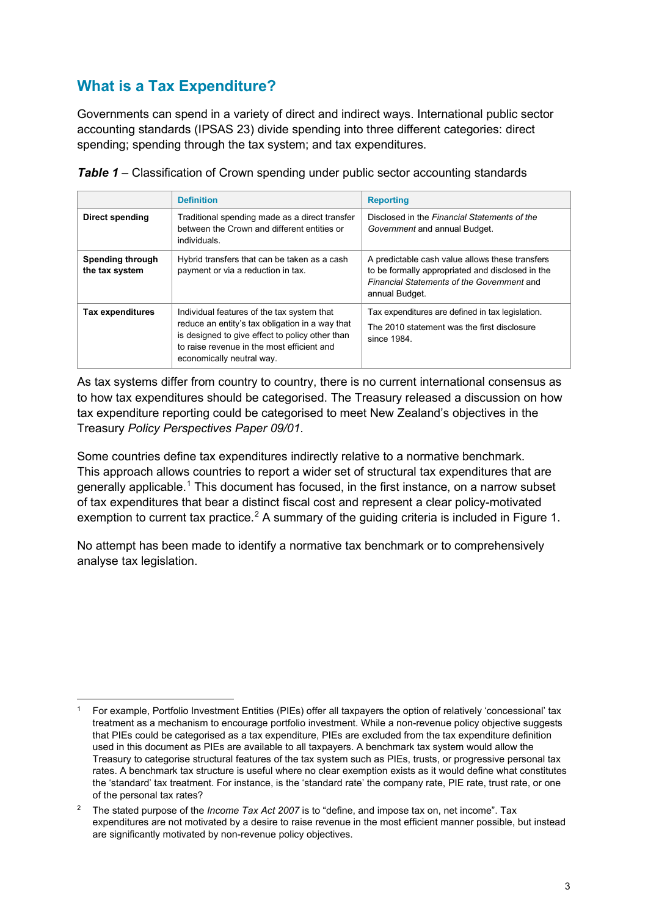## **What is a Tax Expenditure?**

Governments can spend in a variety of direct and indirect ways. International public sector accounting standards (IPSAS 23) divide spending into three different categories: direct spending; spending through the tax system; and tax expenditures.

|                                           | <b>Definition</b>                                                                                                                                                                                                           | <b>Reporting</b>                                                                                                                                                    |
|-------------------------------------------|-----------------------------------------------------------------------------------------------------------------------------------------------------------------------------------------------------------------------------|---------------------------------------------------------------------------------------------------------------------------------------------------------------------|
| Direct spending                           | Traditional spending made as a direct transfer<br>between the Crown and different entities or<br>individuals.                                                                                                               | Disclosed in the Financial Statements of the<br>Government and annual Budget.                                                                                       |
| <b>Spending through</b><br>the tax system | Hybrid transfers that can be taken as a cash<br>payment or via a reduction in tax.                                                                                                                                          | A predictable cash value allows these transfers<br>to be formally appropriated and disclosed in the<br>Financial Statements of the Government and<br>annual Budget. |
| <b>Tax expenditures</b>                   | Individual features of the tax system that<br>reduce an entity's tax obligation in a way that<br>is designed to give effect to policy other than<br>to raise revenue in the most efficient and<br>economically neutral way. | Tax expenditures are defined in tax legislation.<br>The 2010 statement was the first disclosure<br>since 1984                                                       |

*Table 1* – Classification of Crown spending under public sector accounting standards

As tax systems differ from country to country, there is no current international consensus as to how tax expenditures should be categorised. The Treasury released a discussion on how tax expenditure reporting could be categorised to meet New Zealand's objectives in the Treasury *Policy Perspectives Paper 09/01*.

Some countries define tax expenditures indirectly relative to a normative benchmark. This approach allows countries to report a wider set of structural tax expenditures that are generally applicable. [1](#page-2-0) This document has focused, in the first instance, on a narrow subset of tax expenditures that bear a distinct fiscal cost and represent a clear policy-motivated exemption to current tax practice.<sup>[2](#page-2-1)</sup> A summary of the guiding criteria is included in Figure 1.

No attempt has been made to identify a normative tax benchmark or to comprehensively analyse tax legislation.

<span id="page-2-0"></span><sup>1</sup> For example, Portfolio Investment Entities (PIEs) offer all taxpayers the option of relatively 'concessional' tax treatment as a mechanism to encourage portfolio investment. While a non-revenue policy objective suggests that PIEs could be categorised as a tax expenditure, PIEs are excluded from the tax expenditure definition used in this document as PIEs are available to all taxpayers. A benchmark tax system would allow the Treasury to categorise structural features of the tax system such as PIEs, trusts, or progressive personal tax rates. A benchmark tax structure is useful where no clear exemption exists as it would define what constitutes the 'standard' tax treatment. For instance, is the 'standard rate' the company rate, PIE rate, trust rate, or one of the personal tax rates?

<span id="page-2-1"></span><sup>&</sup>lt;sup>2</sup> The stated purpose of the *Income Tax Act 2007* is to "define, and impose tax on, net income". Tax expenditures are not motivated by a desire to raise revenue in the most efficient manner possible, but instead are significantly motivated by non-revenue policy objectives.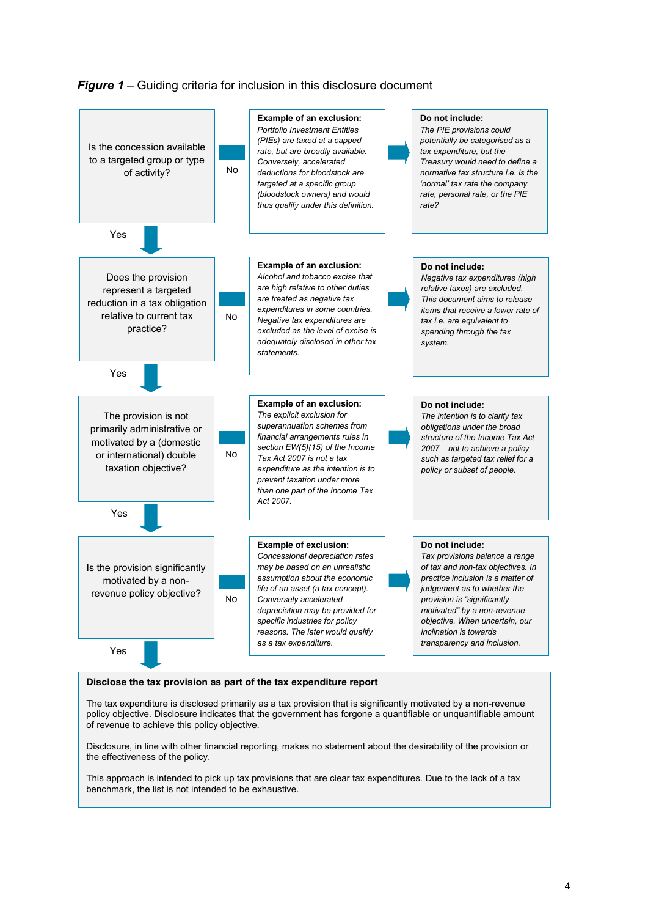*Figure 1* – Guiding criteria for inclusion in this disclosure document



#### **Disclose the tax provision as part of the tax expenditure report**

The tax expenditure is disclosed primarily as a tax provision that is significantly motivated by a non-revenue policy objective. Disclosure indicates that the government has forgone a quantifiable or unquantifiable amount of revenue to achieve this policy objective.

Disclosure, in line with other financial reporting, makes no statement about the desirability of the provision or the effectiveness of the policy.

This approach is intended to pick up tax provisions that are clear tax expenditures. Due to the lack of a tax benchmark, the list is not intended to be exhaustive.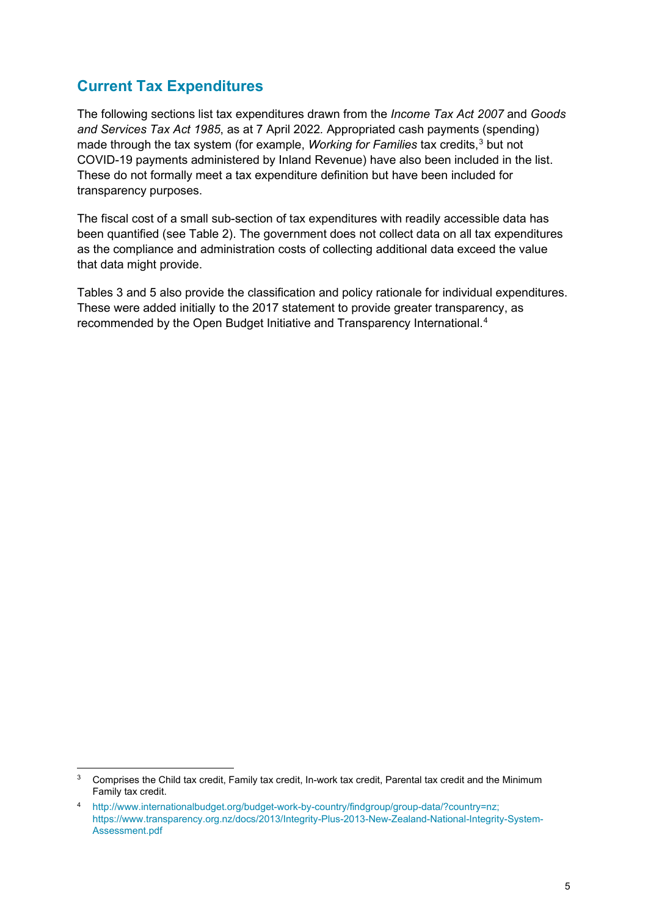## **Current Tax Expenditures**

The following sections list tax expenditures drawn from the *Income Tax Act 2007* and *Goods and Services Tax Act 1985*, as at 7 April 2022*.* Appropriated cash payments (spending) made through the tax system (for example, *Working for Families* tax credits, [3](#page-4-0) but not COVID-19 payments administered by Inland Revenue) have also been included in the list. These do not formally meet a tax expenditure definition but have been included for transparency purposes.

The fiscal cost of a small sub-section of tax expenditures with readily accessible data has been quantified (see Table 2). The government does not collect data on all tax expenditures as the compliance and administration costs of collecting additional data exceed the value that data might provide.

Tables 3 and 5 also provide the classification and policy rationale for individual expenditures. These were added initially to the 2017 statement to provide greater transparency, as recommended by the Open Budget Initiative and Transparency International.<sup>[4](#page-4-1)</sup>

<span id="page-4-0"></span> $3$  Comprises the Child tax credit, Family tax credit, In-work tax credit, Parental tax credit and the Minimum Family tax credit.

<span id="page-4-1"></span><sup>4</sup> [http://www.internationalbudget.org/budget-work-by-country/findgroup/group-data/?country=nz;](http://www.internationalbudget.org/budget-work-by-country/findgroup/group-data/?country=nz) [https://www.transparency.org.nz/docs/2013/Integrity-Plus-2013-New-Zealand-National-Integrity-System-](https://www.transparency.org.nz/docs/2013/Integrity-Plus-2013-New-Zealand-National-Integrity-System-Assessment.pdf)[Assessment.pdf](https://www.transparency.org.nz/docs/2013/Integrity-Plus-2013-New-Zealand-National-Integrity-System-Assessment.pdf)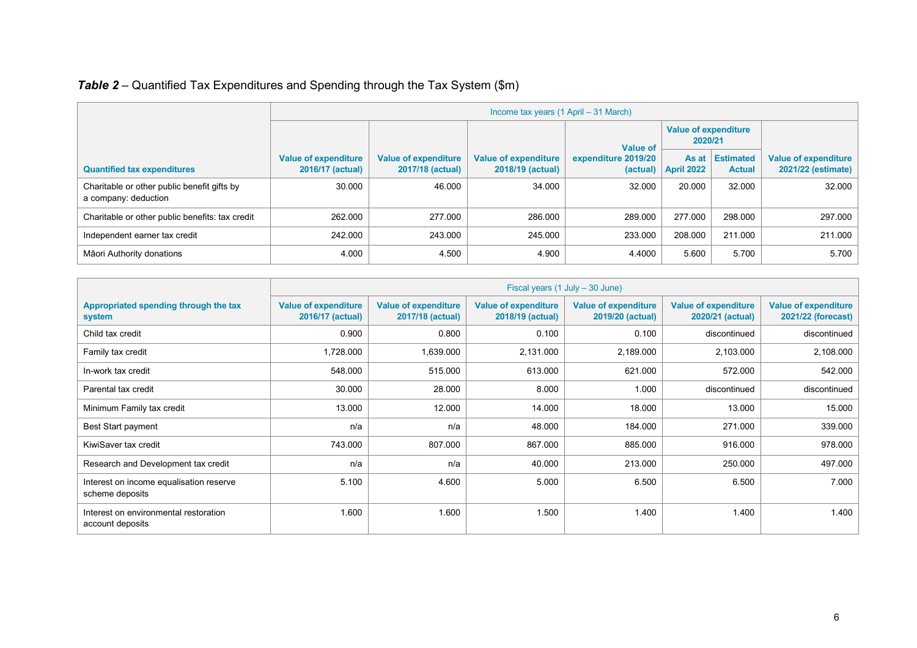|                                                                     |                                                 |                                                 | Income tax years (1 April – 31 March)           |                                 |                                        |                            |                                            |
|---------------------------------------------------------------------|-------------------------------------------------|-------------------------------------------------|-------------------------------------------------|---------------------------------|----------------------------------------|----------------------------|--------------------------------------------|
|                                                                     |                                                 |                                                 | <b>Value of</b>                                 |                                 | <b>Value of expenditure</b><br>2020/21 |                            |                                            |
| <b>Quantified tax expenditures</b>                                  | <b>Value of expenditure</b><br>2016/17 (actual) | <b>Value of expenditure</b><br>2017/18 (actual) | <b>Value of expenditure</b><br>2018/19 (actual) | expenditure 2019/20<br>(actual) | As at<br><b>April 2022</b>             | Estimated<br><b>Actual</b> | Value of expenditure<br>2021/22 (estimate) |
| Charitable or other public benefit gifts by<br>a company: deduction | 30.000                                          | 46.000                                          | 34.000                                          | 32.000                          | 20.000                                 | 32.000                     | 32.000                                     |
| Charitable or other public benefits: tax credit                     | 262.000                                         | 277.000                                         | 286.000                                         | 289.000                         | 277.000                                | 298.000                    | 297.000                                    |
| Independent earner tax credit                                       | 242.000                                         | 243.000                                         | 245.000                                         | 233.000                         | 208.000                                | 211.000                    | 211.000                                    |
| Māori Authority donations                                           | 4.000                                           | 4.500                                           | 4.900                                           | 4.4000                          | 5.600                                  | 5.700                      | 5.700                                      |

|                                                            |                                                 | Fiscal years (1 July – 30 June)                 |                                                 |                                                 |                                                 |                                                   |  |  |  |  |
|------------------------------------------------------------|-------------------------------------------------|-------------------------------------------------|-------------------------------------------------|-------------------------------------------------|-------------------------------------------------|---------------------------------------------------|--|--|--|--|
| Appropriated spending through the tax<br>system            | <b>Value of expenditure</b><br>2016/17 (actual) | <b>Value of expenditure</b><br>2017/18 (actual) | <b>Value of expenditure</b><br>2018/19 (actual) | <b>Value of expenditure</b><br>2019/20 (actual) | <b>Value of expenditure</b><br>2020/21 (actual) | <b>Value of expenditure</b><br>2021/22 (forecast) |  |  |  |  |
| Child tax credit                                           | 0.900                                           | 0.800                                           | 0.100                                           | 0.100                                           | discontinued                                    | discontinued                                      |  |  |  |  |
| Family tax credit                                          | 1,728.000                                       | 1,639.000                                       | 2,131.000                                       | 2,189.000                                       | 2,103.000                                       | 2,108.000                                         |  |  |  |  |
| In-work tax credit                                         | 548.000                                         | 515.000                                         | 613.000                                         | 621.000                                         | 572.000                                         | 542.000                                           |  |  |  |  |
| Parental tax credit                                        | 30.000                                          | 28.000                                          | 8.000                                           | 1.000                                           | discontinued                                    | discontinued                                      |  |  |  |  |
| Minimum Family tax credit                                  | 13.000                                          | 12.000                                          | 14.000                                          | 18.000                                          | 13.000                                          | 15.000                                            |  |  |  |  |
| <b>Best Start payment</b>                                  | n/a                                             | n/a                                             | 48.000                                          | 184.000                                         | 271.000                                         | 339.000                                           |  |  |  |  |
| KiwiSaver tax credit                                       | 743.000                                         | 807.000                                         | 867.000                                         | 885.000                                         | 916.000                                         | 978.000                                           |  |  |  |  |
| Research and Development tax credit                        | n/a                                             | n/a                                             | 40.000                                          | 213.000                                         | 250.000                                         | 497.000                                           |  |  |  |  |
| Interest on income equalisation reserve<br>scheme deposits | 5.100                                           | 4.600                                           | 5.000                                           | 6.500                                           | 6.500                                           | 7.000                                             |  |  |  |  |
| Interest on environmental restoration<br>account deposits  | 1.600                                           | 1.600                                           | 1.500                                           | 1.400                                           | 1.400                                           | 1.400                                             |  |  |  |  |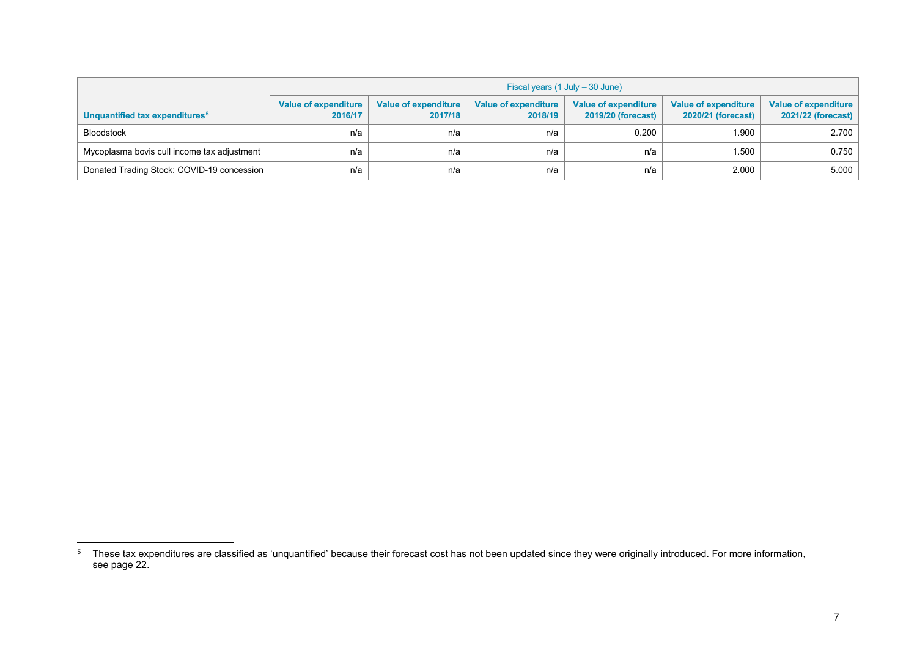<span id="page-6-0"></span>

|                                             |                                 | Fiscal years (1 July – 30 June)        |                                        |                                            |                                            |                                            |  |  |  |  |  |  |
|---------------------------------------------|---------------------------------|----------------------------------------|----------------------------------------|--------------------------------------------|--------------------------------------------|--------------------------------------------|--|--|--|--|--|--|
| Unquantified tax expenditures <sup>5</sup>  | Value of expenditure<br>2016/17 | <b>Value of expenditure</b><br>2017/18 | <b>Value of expenditure</b><br>2018/19 | Value of expenditure<br>2019/20 (forecast) | Value of expenditure<br>2020/21 (forecast) | Value of expenditure<br>2021/22 (forecast) |  |  |  |  |  |  |
| <b>Bloodstock</b>                           | n/a                             | n/a                                    | n/a                                    | 0.200                                      | 1.900                                      | 2.700                                      |  |  |  |  |  |  |
| Mycoplasma bovis cull income tax adjustment | n/a                             | n/a                                    | n/a                                    | n/a                                        | 1.500                                      | 0.750                                      |  |  |  |  |  |  |
| Donated Trading Stock: COVID-19 concession  | n/a                             | n/a                                    | n/a                                    | n/a                                        | 2.000                                      | 5.000                                      |  |  |  |  |  |  |

 $^{\rm 5}$  These tax expenditures are classified as 'unquantified' because their forecast cost has not been updated since they were originally introduced. For more information, see page 22.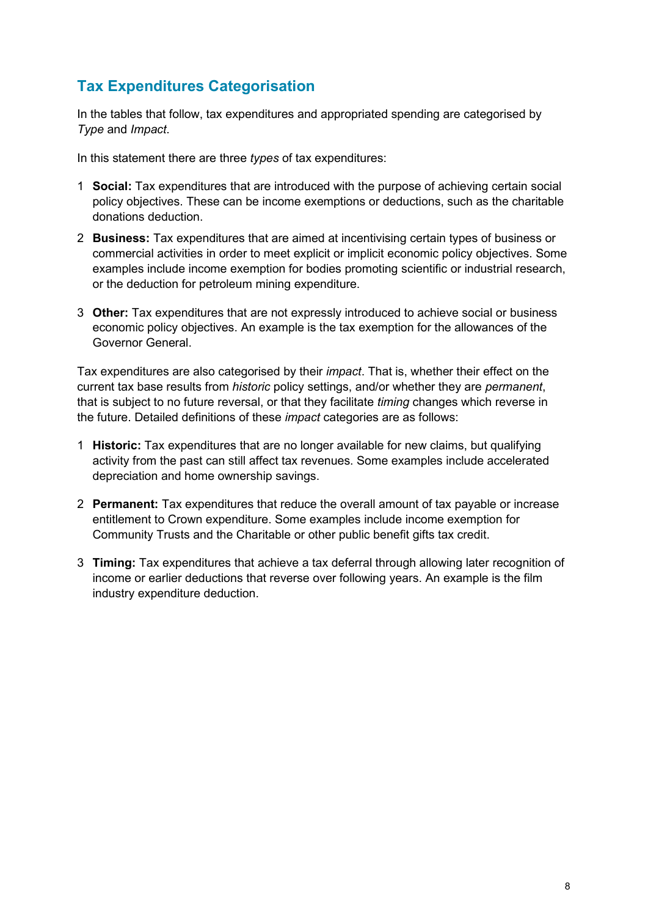## **Tax Expenditures Categorisation**

In the tables that follow, tax expenditures and appropriated spending are categorised by *Type* and *Impact*.

In this statement there are three *types* of tax expenditures:

- 1 **Social:** Tax expenditures that are introduced with the purpose of achieving certain social policy objectives. These can be income exemptions or deductions, such as the charitable donations deduction.
- 2 **Business:** Tax expenditures that are aimed at incentivising certain types of business or commercial activities in order to meet explicit or implicit economic policy objectives. Some examples include income exemption for bodies promoting scientific or industrial research, or the deduction for petroleum mining expenditure.
- 3 **Other:** Tax expenditures that are not expressly introduced to achieve social or business economic policy objectives. An example is the tax exemption for the allowances of the Governor General.

Tax expenditures are also categorised by their *impact*. That is, whether their effect on the current tax base results from *historic* policy settings, and/or whether they are *permanent*, that is subject to no future reversal, or that they facilitate *timing* changes which reverse in the future. Detailed definitions of these *impact* categories are as follows:

- 1 **Historic:** Tax expenditures that are no longer available for new claims, but qualifying activity from the past can still affect tax revenues. Some examples include accelerated depreciation and home ownership savings.
- 2 **Permanent:** Tax expenditures that reduce the overall amount of tax payable or increase entitlement to Crown expenditure. Some examples include income exemption for Community Trusts and the Charitable or other public benefit gifts tax credit.
- 3 **Timing:** Tax expenditures that achieve a tax deferral through allowing later recognition of income or earlier deductions that reverse over following years. An example is the film industry expenditure deduction.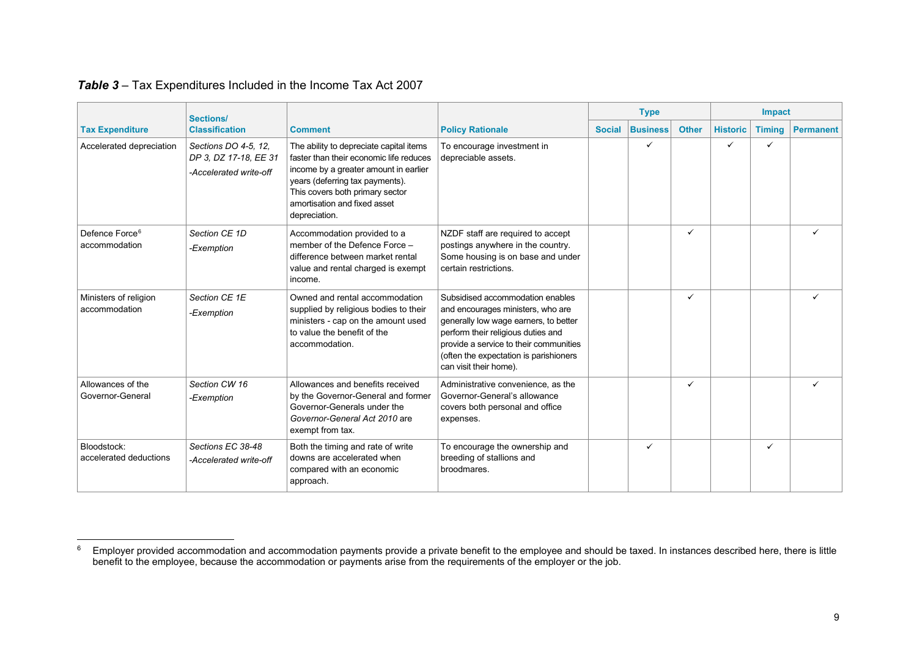|                                             | <b>Sections/</b>                                                        |                                                                                                                                                                                                                                                    |                                                                                                                                                                                                                                                                    |               | <b>Type</b>     |              |                 | <b>Impact</b> |                  |
|---------------------------------------------|-------------------------------------------------------------------------|----------------------------------------------------------------------------------------------------------------------------------------------------------------------------------------------------------------------------------------------------|--------------------------------------------------------------------------------------------------------------------------------------------------------------------------------------------------------------------------------------------------------------------|---------------|-----------------|--------------|-----------------|---------------|------------------|
| <b>Tax Expenditure</b>                      | <b>Classification</b>                                                   | <b>Comment</b>                                                                                                                                                                                                                                     | <b>Policy Rationale</b>                                                                                                                                                                                                                                            | <b>Social</b> | <b>Business</b> | <b>Other</b> | <b>Historic</b> | <b>Timing</b> | <b>Permanent</b> |
| Accelerated depreciation                    | Sections DO 4-5, 12,<br>DP 3, DZ 17-18, EE 31<br>-Accelerated write-off | The ability to depreciate capital items<br>faster than their economic life reduces<br>income by a greater amount in earlier<br>years (deferring tax payments).<br>This covers both primary sector<br>amortisation and fixed asset<br>depreciation. | To encourage investment in<br>depreciable assets.                                                                                                                                                                                                                  |               | ✓               |              | ✓               | $\checkmark$  |                  |
| Defence Force <sup>6</sup><br>accommodation | Section CE 1D<br>-Exemption                                             | Accommodation provided to a<br>member of the Defence Force -<br>difference between market rental<br>value and rental charged is exempt<br>income.                                                                                                  | NZDF staff are required to accept<br>postings anywhere in the country.<br>Some housing is on base and under<br>certain restrictions.                                                                                                                               |               |                 | ✓            |                 |               |                  |
| Ministers of religion<br>accommodation      | Section CE 1E<br>-Exemption                                             | Owned and rental accommodation<br>supplied by religious bodies to their<br>ministers - cap on the amount used<br>to value the benefit of the<br>accommodation.                                                                                     | Subsidised accommodation enables<br>and encourages ministers, who are<br>generally low wage earners, to better<br>perform their religious duties and<br>provide a service to their communities<br>(often the expectation is parishioners<br>can visit their home). |               |                 | ✓            |                 |               |                  |
| Allowances of the<br>Governor-General       | Section CW 16<br>-Exemption                                             | Allowances and benefits received<br>by the Governor-General and former<br>Governor-Generals under the<br>Governor-General Act 2010 are<br>exempt from tax.                                                                                         | Administrative convenience, as the<br>Governor-General's allowance<br>covers both personal and office<br>expenses.                                                                                                                                                 |               |                 | ✓            |                 |               |                  |
| Bloodstock:<br>accelerated deductions       | Sections EC 38-48<br>-Accelerated write-off                             | Both the timing and rate of write<br>downs are accelerated when<br>compared with an economic<br>approach.                                                                                                                                          | To encourage the ownership and<br>breeding of stallions and<br><b>broodmares</b>                                                                                                                                                                                   |               | ✓               |              |                 | ✓             |                  |

### <span id="page-8-0"></span>*Table 3* – Tax Expenditures Included in the Income Tax Act 2007

 $^6$  Employer provided accommodation and accommodation payments provide a private benefit to the employee and should be taxed. In instances described here, there is little benefit to the employee, because the accommodation or payments arise from the requirements of the employer or the job.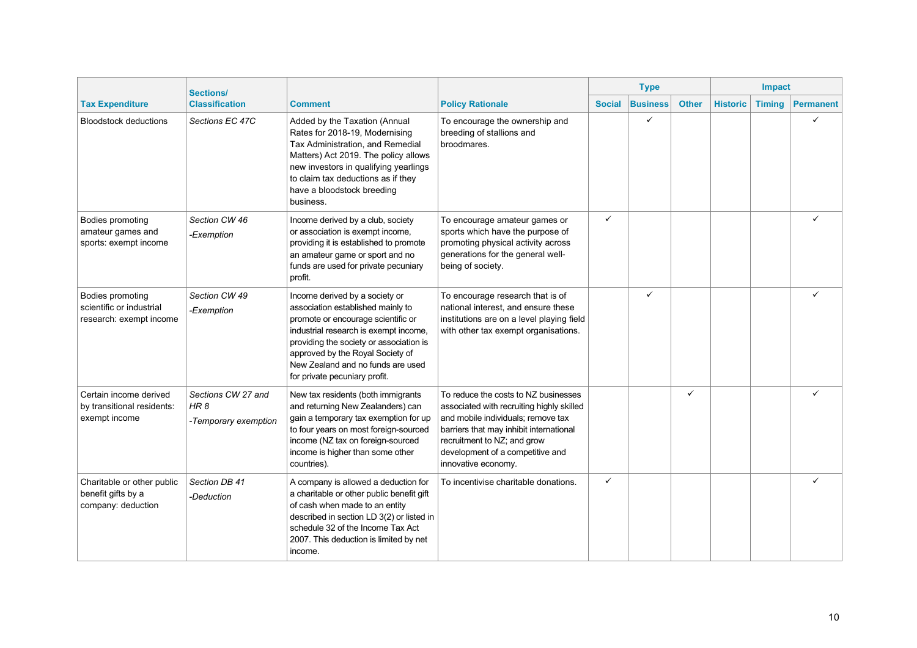|                                                                         | <b>Sections/</b>                                   |                                                                                                                                                                                                                                                                                                         |                                                                                                                                                                                                                                                              | <b>Type</b>   |                 |              | Impact          |               |                  |  |
|-------------------------------------------------------------------------|----------------------------------------------------|---------------------------------------------------------------------------------------------------------------------------------------------------------------------------------------------------------------------------------------------------------------------------------------------------------|--------------------------------------------------------------------------------------------------------------------------------------------------------------------------------------------------------------------------------------------------------------|---------------|-----------------|--------------|-----------------|---------------|------------------|--|
| <b>Tax Expenditure</b>                                                  | <b>Classification</b>                              | <b>Comment</b>                                                                                                                                                                                                                                                                                          | <b>Policy Rationale</b>                                                                                                                                                                                                                                      | <b>Social</b> | <b>Business</b> | <b>Other</b> | <b>Historic</b> | <b>Timing</b> | <b>Permanent</b> |  |
| <b>Bloodstock deductions</b>                                            | Sections EC 47C                                    | Added by the Taxation (Annual<br>Rates for 2018-19, Modernising<br>Tax Administration, and Remedial<br>Matters) Act 2019. The policy allows<br>new investors in qualifying yearlings<br>to claim tax deductions as if they<br>have a bloodstock breeding<br>business.                                   | To encourage the ownership and<br>breeding of stallions and<br>broodmares.                                                                                                                                                                                   |               | ✓               |              |                 |               |                  |  |
| Bodies promoting<br>amateur games and<br>sports: exempt income          | Section CW 46<br>-Exemption                        | Income derived by a club, society<br>or association is exempt income,<br>providing it is established to promote<br>an amateur game or sport and no<br>funds are used for private pecuniary<br>profit.                                                                                                   | To encourage amateur games or<br>sports which have the purpose of<br>promoting physical activity across<br>generations for the general well-<br>being of society.                                                                                            | $\checkmark$  |                 |              |                 |               |                  |  |
| Bodies promoting<br>scientific or industrial<br>research: exempt income | Section CW 49<br>-Exemption                        | Income derived by a society or<br>association established mainly to<br>promote or encourage scientific or<br>industrial research is exempt income,<br>providing the society or association is<br>approved by the Royal Society of<br>New Zealand and no funds are used<br>for private pecuniary profit. | To encourage research that is of<br>national interest, and ensure these<br>institutions are on a level playing field<br>with other tax exempt organisations.                                                                                                 |               | $\checkmark$    |              |                 |               |                  |  |
| Certain income derived<br>by transitional residents:<br>exempt income   | Sections CW 27 and<br>HR 8<br>-Temporary exemption | New tax residents (both immigrants<br>and returning New Zealanders) can<br>gain a temporary tax exemption for up<br>to four years on most foreign-sourced<br>income (NZ tax on foreign-sourced<br>income is higher than some other<br>countries).                                                       | To reduce the costs to NZ businesses<br>associated with recruiting highly skilled<br>and mobile individuals; remove tax<br>barriers that may inhibit international<br>recruitment to NZ; and grow<br>development of a competitive and<br>innovative economy. |               |                 | ✓            |                 |               |                  |  |
| Charitable or other public<br>benefit gifts by a<br>company: deduction  | Section DB 41<br>-Deduction                        | A company is allowed a deduction for<br>a charitable or other public benefit gift<br>of cash when made to an entity<br>described in section LD 3(2) or listed in<br>schedule 32 of the Income Tax Act<br>2007. This deduction is limited by net<br>income.                                              | To incentivise charitable donations.                                                                                                                                                                                                                         | $\checkmark$  |                 |              |                 |               |                  |  |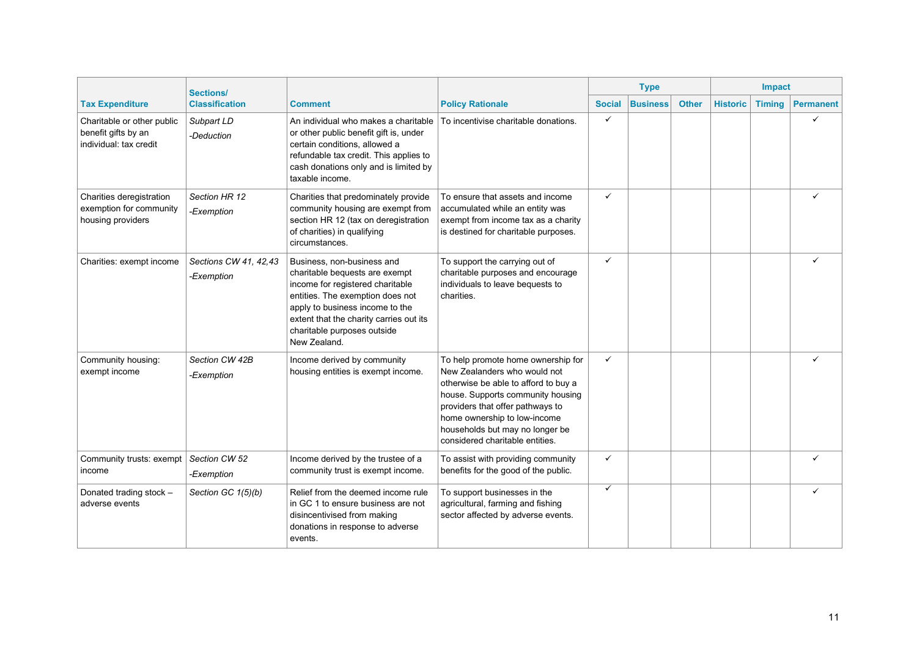|                                                                             | <b>Sections/</b>                    |                                                                                                                                                                                                                                                                   |                                                                                                                                                                                                                                                                                           | <b>Type</b>   |                 |              | Impact          |               |                  |  |
|-----------------------------------------------------------------------------|-------------------------------------|-------------------------------------------------------------------------------------------------------------------------------------------------------------------------------------------------------------------------------------------------------------------|-------------------------------------------------------------------------------------------------------------------------------------------------------------------------------------------------------------------------------------------------------------------------------------------|---------------|-----------------|--------------|-----------------|---------------|------------------|--|
| <b>Tax Expenditure</b>                                                      | <b>Classification</b>               | <b>Comment</b>                                                                                                                                                                                                                                                    | <b>Policy Rationale</b>                                                                                                                                                                                                                                                                   | <b>Social</b> | <b>Business</b> | <b>Other</b> | <b>Historic</b> | <b>Timing</b> | <b>Permanent</b> |  |
| Charitable or other public<br>benefit gifts by an<br>individual: tax credit | Subpart LD<br>-Deduction            | An individual who makes a charitable<br>or other public benefit gift is, under<br>certain conditions, allowed a<br>refundable tax credit. This applies to<br>cash donations only and is limited by<br>taxable income.                                             | To incentivise charitable donations.                                                                                                                                                                                                                                                      | ✓             |                 |              |                 |               |                  |  |
| Charities deregistration<br>exemption for community<br>housing providers    | Section HR 12<br>-Exemption         | Charities that predominately provide<br>community housing are exempt from<br>section HR 12 (tax on deregistration<br>of charities) in qualifying<br>circumstances.                                                                                                | To ensure that assets and income<br>accumulated while an entity was<br>exempt from income tax as a charity<br>is destined for charitable purposes.                                                                                                                                        | $\checkmark$  |                 |              |                 |               |                  |  |
| Charities: exempt income                                                    | Sections CW 41, 42,43<br>-Exemption | Business, non-business and<br>charitable bequests are exempt<br>income for registered charitable<br>entities. The exemption does not<br>apply to business income to the<br>extent that the charity carries out its<br>charitable purposes outside<br>New Zealand. | To support the carrying out of<br>charitable purposes and encourage<br>individuals to leave bequests to<br>charities.                                                                                                                                                                     | ✓             |                 |              |                 |               | ✓                |  |
| Community housing:<br>exempt income                                         | Section CW 42B<br>-Exemption        | Income derived by community<br>housing entities is exempt income.                                                                                                                                                                                                 | To help promote home ownership for<br>New Zealanders who would not<br>otherwise be able to afford to buy a<br>house. Supports community housing<br>providers that offer pathways to<br>home ownership to low-income<br>households but may no longer be<br>considered charitable entities. | ✓             |                 |              |                 |               |                  |  |
| Community trusts: exempt<br>income                                          | Section CW 52<br>-Exemption         | Income derived by the trustee of a<br>community trust is exempt income.                                                                                                                                                                                           | To assist with providing community<br>benefits for the good of the public.                                                                                                                                                                                                                | $\checkmark$  |                 |              |                 |               |                  |  |
| Donated trading stock -<br>adverse events                                   | Section GC $1(5)(b)$                | Relief from the deemed income rule<br>in GC 1 to ensure business are not<br>disincentivised from making<br>donations in response to adverse<br>events.                                                                                                            | To support businesses in the<br>agricultural, farming and fishing<br>sector affected by adverse events.                                                                                                                                                                                   | $\checkmark$  |                 |              |                 |               |                  |  |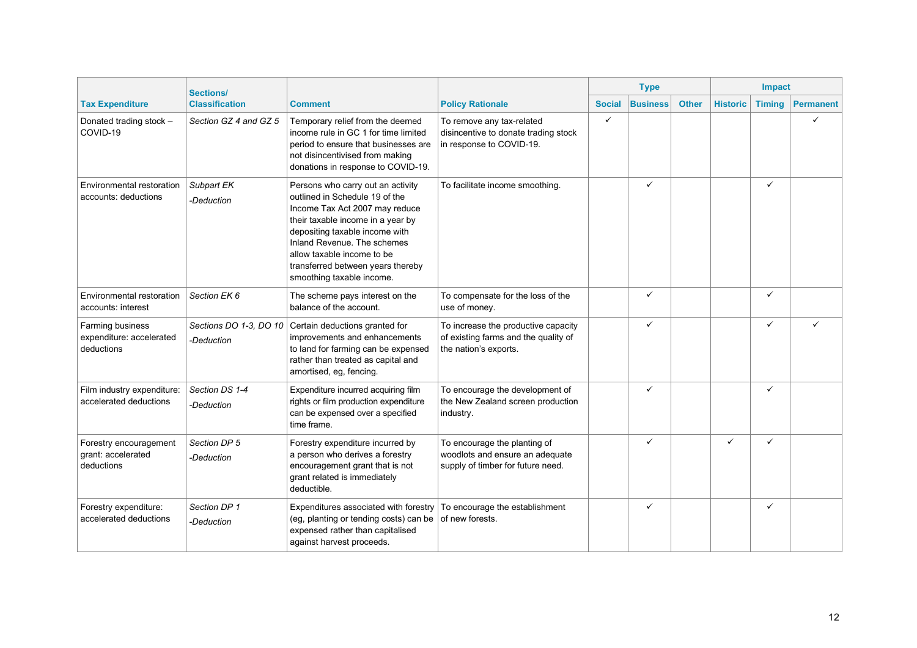|                                                            | <b>Sections/</b>                     |                                                                                                                                                                                                                                                                                                             |                                                                                                      | <b>Type</b>                      |              |                 | Impact        |                  |
|------------------------------------------------------------|--------------------------------------|-------------------------------------------------------------------------------------------------------------------------------------------------------------------------------------------------------------------------------------------------------------------------------------------------------------|------------------------------------------------------------------------------------------------------|----------------------------------|--------------|-----------------|---------------|------------------|
| <b>Tax Expenditure</b>                                     | <b>Classification</b>                | <b>Comment</b>                                                                                                                                                                                                                                                                                              | <b>Policy Rationale</b>                                                                              | <b>Business</b><br><b>Social</b> | <b>Other</b> | <b>Historic</b> | <b>Timing</b> | <b>Permanent</b> |
| Donated trading stock -<br>COVID-19                        | Section GZ 4 and GZ 5                | Temporary relief from the deemed<br>income rule in GC 1 for time limited<br>period to ensure that businesses are<br>not disincentivised from making<br>donations in response to COVID-19.                                                                                                                   | To remove any tax-related<br>disincentive to donate trading stock<br>in response to COVID-19.        | $\checkmark$                     |              |                 |               |                  |
| <b>Environmental restoration</b><br>accounts: deductions   | Subpart EK<br>-Deduction             | Persons who carry out an activity<br>outlined in Schedule 19 of the<br>Income Tax Act 2007 may reduce<br>their taxable income in a year by<br>depositing taxable income with<br>Inland Revenue. The schemes<br>allow taxable income to be<br>transferred between years thereby<br>smoothing taxable income. | To facilitate income smoothing.                                                                      | ✓                                |              |                 | $\checkmark$  |                  |
| <b>Environmental restoration</b><br>accounts: interest     | Section EK 6                         | The scheme pays interest on the<br>balance of the account.                                                                                                                                                                                                                                                  | To compensate for the loss of the<br>use of money.                                                   | ✓                                |              |                 | ✓             |                  |
| Farming business<br>expenditure: accelerated<br>deductions | Sections DO 1-3, DO 10<br>-Deduction | Certain deductions granted for<br>improvements and enhancements<br>to land for farming can be expensed<br>rather than treated as capital and<br>amortised, eg, fencing.                                                                                                                                     | To increase the productive capacity<br>of existing farms and the quality of<br>the nation's exports. | $\checkmark$                     |              |                 | ✓             |                  |
| Film industry expenditure:<br>accelerated deductions       | Section DS 1-4<br>-Deduction         | Expenditure incurred acquiring film<br>rights or film production expenditure<br>can be expensed over a specified<br>time frame.                                                                                                                                                                             | To encourage the development of<br>the New Zealand screen production<br>industry.                    | ✓                                |              |                 | ✓             |                  |
| Forestry encouragement<br>grant: accelerated<br>deductions | Section DP 5<br>-Deduction           | Forestry expenditure incurred by<br>a person who derives a forestry<br>encouragement grant that is not<br>grant related is immediately<br>deductible.                                                                                                                                                       | To encourage the planting of<br>woodlots and ensure an adequate<br>supply of timber for future need. | ✓                                |              | ✓               | ✓             |                  |
| Forestry expenditure:<br>accelerated deductions            | Section DP 1<br>-Deduction           | Expenditures associated with forestry<br>(eg, planting or tending costs) can be<br>expensed rather than capitalised<br>against harvest proceeds.                                                                                                                                                            | To encourage the establishment<br>of new forests.                                                    | ✓                                |              |                 | $\checkmark$  |                  |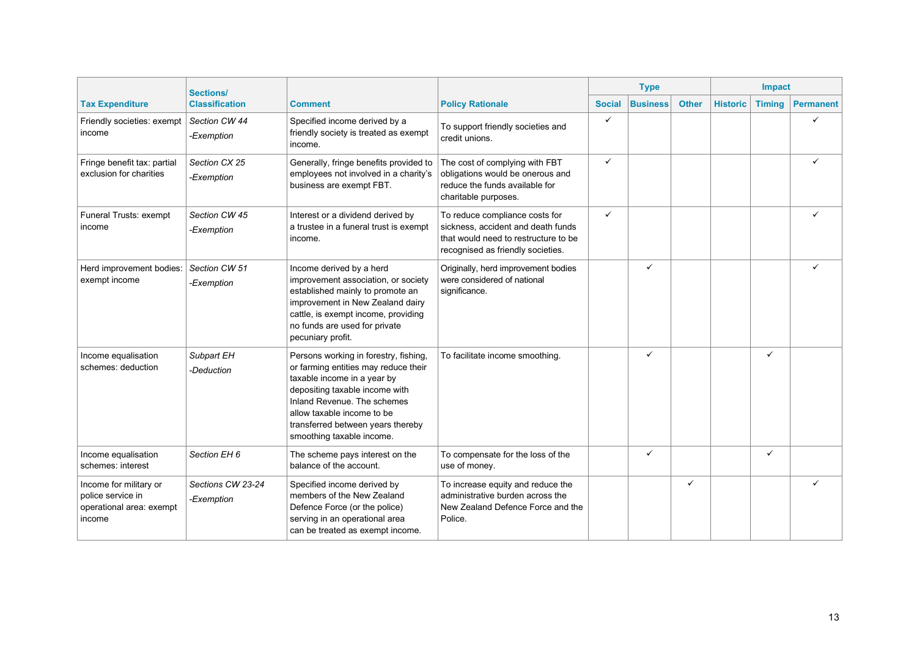|                                                                                   | <b>Sections/</b>                |                                                                                                                                                                                                                                                                               |                                                                                                                                                   | <b>Type</b>   |                 |              |                 | Impact        |                  |
|-----------------------------------------------------------------------------------|---------------------------------|-------------------------------------------------------------------------------------------------------------------------------------------------------------------------------------------------------------------------------------------------------------------------------|---------------------------------------------------------------------------------------------------------------------------------------------------|---------------|-----------------|--------------|-----------------|---------------|------------------|
| <b>Tax Expenditure</b>                                                            | <b>Classification</b>           | <b>Comment</b>                                                                                                                                                                                                                                                                | <b>Policy Rationale</b>                                                                                                                           | <b>Social</b> | <b>Business</b> | <b>Other</b> | <b>Historic</b> | <b>Timing</b> | <b>Permanent</b> |
| Friendly societies: exempt<br>income                                              | Section CW 44<br>-Exemption     | Specified income derived by a<br>friendly society is treated as exempt<br>income.                                                                                                                                                                                             | To support friendly societies and<br>credit unions.                                                                                               | ✓             |                 |              |                 |               | ✓                |
| Fringe benefit tax: partial<br>exclusion for charities                            | Section CX 25<br>-Exemption     | Generally, fringe benefits provided to<br>employees not involved in a charity's<br>business are exempt FBT.                                                                                                                                                                   | The cost of complying with FBT<br>obligations would be onerous and<br>reduce the funds available for<br>charitable purposes.                      | $\checkmark$  |                 |              |                 |               |                  |
| Funeral Trusts: exempt<br>income                                                  | Section CW 45<br>-Exemption     | Interest or a dividend derived by<br>a trustee in a funeral trust is exempt<br>income.                                                                                                                                                                                        | To reduce compliance costs for<br>sickness, accident and death funds<br>that would need to restructure to be<br>recognised as friendly societies. | $\checkmark$  |                 |              |                 |               |                  |
| Herd improvement bodies:<br>exempt income                                         | Section CW 51<br>-Exemption     | Income derived by a herd<br>improvement association, or society<br>established mainly to promote an<br>improvement in New Zealand dairy<br>cattle, is exempt income, providing<br>no funds are used for private<br>pecuniary profit.                                          | Originally, herd improvement bodies<br>were considered of national<br>significance.                                                               |               | ✓               |              |                 |               |                  |
| Income equalisation<br>schemes: deduction                                         | Subpart EH<br>-Deduction        | Persons working in forestry, fishing,<br>or farming entities may reduce their<br>taxable income in a year by<br>depositing taxable income with<br>Inland Revenue. The schemes<br>allow taxable income to be<br>transferred between years thereby<br>smoothing taxable income. | To facilitate income smoothing.                                                                                                                   |               | ✓               |              |                 | $\checkmark$  |                  |
| Income equalisation<br>schemes: interest                                          | Section EH 6                    | The scheme pays interest on the<br>balance of the account.                                                                                                                                                                                                                    | To compensate for the loss of the<br>use of money.                                                                                                |               | ✓               |              |                 | $\checkmark$  |                  |
| Income for military or<br>police service in<br>operational area: exempt<br>income | Sections CW 23-24<br>-Exemption | Specified income derived by<br>members of the New Zealand<br>Defence Force (or the police)<br>serving in an operational area<br>can be treated as exempt income.                                                                                                              | To increase equity and reduce the<br>administrative burden across the<br>New Zealand Defence Force and the<br>Police.                             |               |                 | ✓            |                 |               |                  |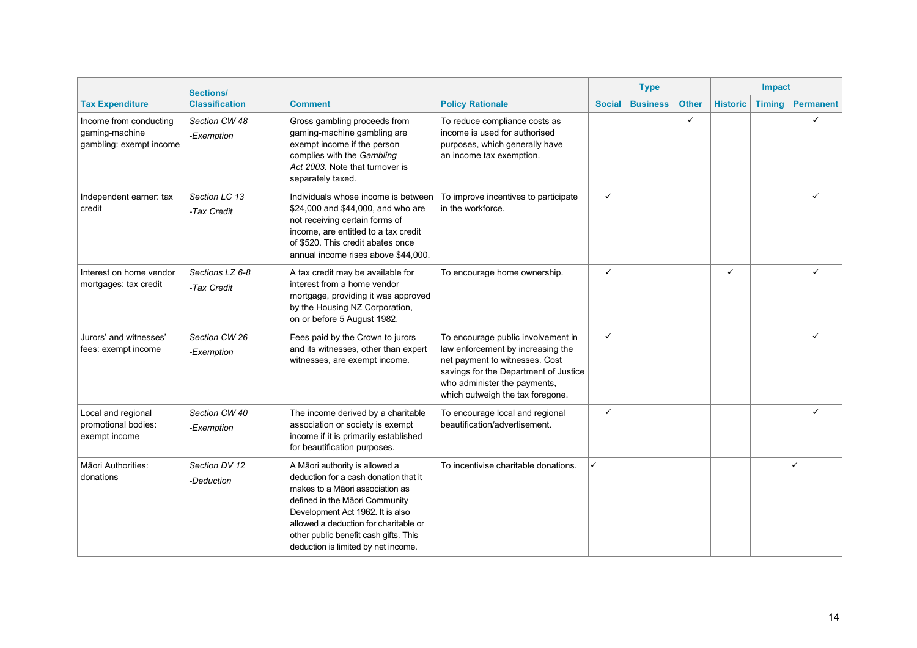|                                                                     | <b>Sections/</b>               |                                                                                                                                                                                                                                                                                                           |                                                                                                                                                                                                                        | <b>Type</b>   |                 |              | Impact          |               |                  |
|---------------------------------------------------------------------|--------------------------------|-----------------------------------------------------------------------------------------------------------------------------------------------------------------------------------------------------------------------------------------------------------------------------------------------------------|------------------------------------------------------------------------------------------------------------------------------------------------------------------------------------------------------------------------|---------------|-----------------|--------------|-----------------|---------------|------------------|
| <b>Tax Expenditure</b>                                              | <b>Classification</b>          | <b>Comment</b>                                                                                                                                                                                                                                                                                            | <b>Policy Rationale</b>                                                                                                                                                                                                | <b>Social</b> | <b>Business</b> | <b>Other</b> | <b>Historic</b> | <b>Timing</b> | <b>Permanent</b> |
| Income from conducting<br>gaming-machine<br>gambling: exempt income | Section CW 48<br>-Exemption    | Gross gambling proceeds from<br>gaming-machine gambling are<br>exempt income if the person<br>complies with the Gambling<br>Act 2003. Note that turnover is<br>separately taxed.                                                                                                                          | To reduce compliance costs as<br>income is used for authorised<br>purposes, which generally have<br>an income tax exemption.                                                                                           |               |                 | ✓            |                 |               | ✓                |
| Independent earner: tax<br>credit                                   | Section LC 13<br>-Tax Credit   | Individuals whose income is between<br>\$24,000 and \$44,000, and who are<br>not receiving certain forms of<br>income, are entitled to a tax credit<br>of \$520. This credit abates once<br>annual income rises above \$44,000.                                                                           | To improve incentives to participate<br>in the workforce.                                                                                                                                                              | $\checkmark$  |                 |              |                 |               |                  |
| Interest on home vendor<br>mortgages: tax credit                    | Sections LZ 6-8<br>-Tax Credit | A tax credit may be available for<br>interest from a home vendor<br>mortgage, providing it was approved<br>by the Housing NZ Corporation,<br>on or before 5 August 1982.                                                                                                                                  | To encourage home ownership.                                                                                                                                                                                           | ✓             |                 |              | ✓               |               | ✓                |
| Jurors' and witnesses'<br>fees: exempt income                       | Section CW 26<br>-Exemption    | Fees paid by the Crown to jurors<br>and its witnesses, other than expert<br>witnesses, are exempt income.                                                                                                                                                                                                 | To encourage public involvement in<br>law enforcement by increasing the<br>net payment to witnesses. Cost<br>savings for the Department of Justice<br>who administer the payments,<br>which outweigh the tax foregone. | $\checkmark$  |                 |              |                 |               | ✓                |
| Local and regional<br>promotional bodies:<br>exempt income          | Section CW 40<br>-Exemption    | The income derived by a charitable<br>association or society is exempt<br>income if it is primarily established<br>for beautification purposes.                                                                                                                                                           | To encourage local and regional<br>beautification/advertisement.                                                                                                                                                       | $\checkmark$  |                 |              |                 |               | ✓                |
| Māori Authorities:<br>donations                                     | Section DV 12<br>-Deduction    | A Māori authority is allowed a<br>deduction for a cash donation that it<br>makes to a Māori association as<br>defined in the Māori Community<br>Development Act 1962. It is also<br>allowed a deduction for charitable or<br>other public benefit cash gifts. This<br>deduction is limited by net income. | To incentivise charitable donations.                                                                                                                                                                                   |               |                 |              |                 |               |                  |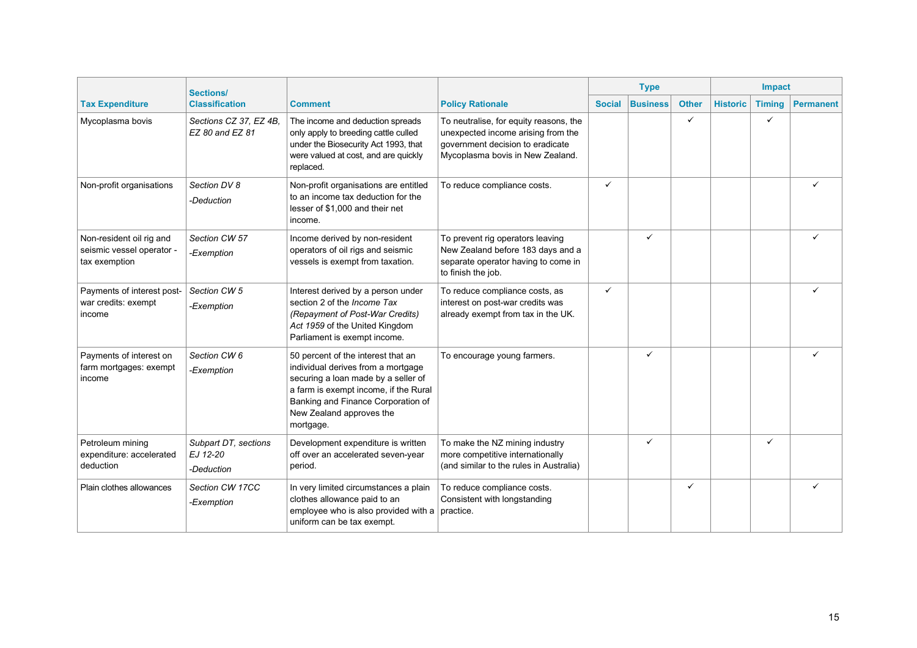|                                                                        | <b>Sections/</b>                               |                                                                                                                                                                                                                                         |                                                                                                                                                      |               | <b>Type</b>     |              |                 | Impact        |                  |
|------------------------------------------------------------------------|------------------------------------------------|-----------------------------------------------------------------------------------------------------------------------------------------------------------------------------------------------------------------------------------------|------------------------------------------------------------------------------------------------------------------------------------------------------|---------------|-----------------|--------------|-----------------|---------------|------------------|
| <b>Tax Expenditure</b>                                                 | <b>Classification</b>                          | <b>Comment</b>                                                                                                                                                                                                                          | <b>Policy Rationale</b>                                                                                                                              | <b>Social</b> | <b>Business</b> | <b>Other</b> | <b>Historic</b> | <b>Timing</b> | <b>Permanent</b> |
| Mycoplasma bovis                                                       | Sections CZ 37, EZ 4B.<br>EZ 80 and EZ 81      | The income and deduction spreads<br>only apply to breeding cattle culled<br>under the Biosecurity Act 1993, that<br>were valued at cost, and are quickly<br>replaced.                                                                   | To neutralise, for equity reasons, the<br>unexpected income arising from the<br>government decision to eradicate<br>Mycoplasma bovis in New Zealand. |               |                 | ✓            |                 | $\checkmark$  |                  |
| Non-profit organisations                                               | Section DV 8<br>-Deduction                     | Non-profit organisations are entitled<br>to an income tax deduction for the<br>lesser of \$1,000 and their net<br>income.                                                                                                               | To reduce compliance costs.                                                                                                                          | $\checkmark$  |                 |              |                 |               |                  |
| Non-resident oil rig and<br>seismic vessel operator -<br>tax exemption | Section CW 57<br>-Exemption                    | Income derived by non-resident<br>operators of oil rigs and seismic<br>vessels is exempt from taxation.                                                                                                                                 | To prevent rig operators leaving<br>New Zealand before 183 days and a<br>separate operator having to come in<br>to finish the job.                   |               | ✓               |              |                 |               | ✓                |
| Payments of interest post-<br>war credits: exempt<br>income            | Section CW 5<br>-Exemption                     | Interest derived by a person under<br>section 2 of the Income Tax<br>(Repayment of Post-War Credits)<br>Act 1959 of the United Kingdom<br>Parliament is exempt income.                                                                  | To reduce compliance costs, as<br>interest on post-war credits was<br>already exempt from tax in the UK.                                             | $\checkmark$  |                 |              |                 |               |                  |
| Payments of interest on<br>farm mortgages: exempt<br>income            | Section CW 6<br>-Exemption                     | 50 percent of the interest that an<br>individual derives from a mortgage<br>securing a loan made by a seller of<br>a farm is exempt income, if the Rural<br>Banking and Finance Corporation of<br>New Zealand approves the<br>mortgage. | To encourage young farmers.                                                                                                                          |               | ✓               |              |                 |               |                  |
| Petroleum mining<br>expenditure: accelerated<br>deduction              | Subpart DT, sections<br>EJ 12-20<br>-Deduction | Development expenditure is written<br>off over an accelerated seven-year<br>period.                                                                                                                                                     | To make the NZ mining industry<br>more competitive internationally<br>(and similar to the rules in Australia)                                        |               | ✓               |              |                 | $\checkmark$  |                  |
| Plain clothes allowances                                               | Section CW 17CC<br>-Exemption                  | In very limited circumstances a plain<br>clothes allowance paid to an<br>employee who is also provided with a<br>uniform can be tax exempt.                                                                                             | To reduce compliance costs.<br>Consistent with longstanding<br>practice.                                                                             |               |                 | ✓            |                 |               |                  |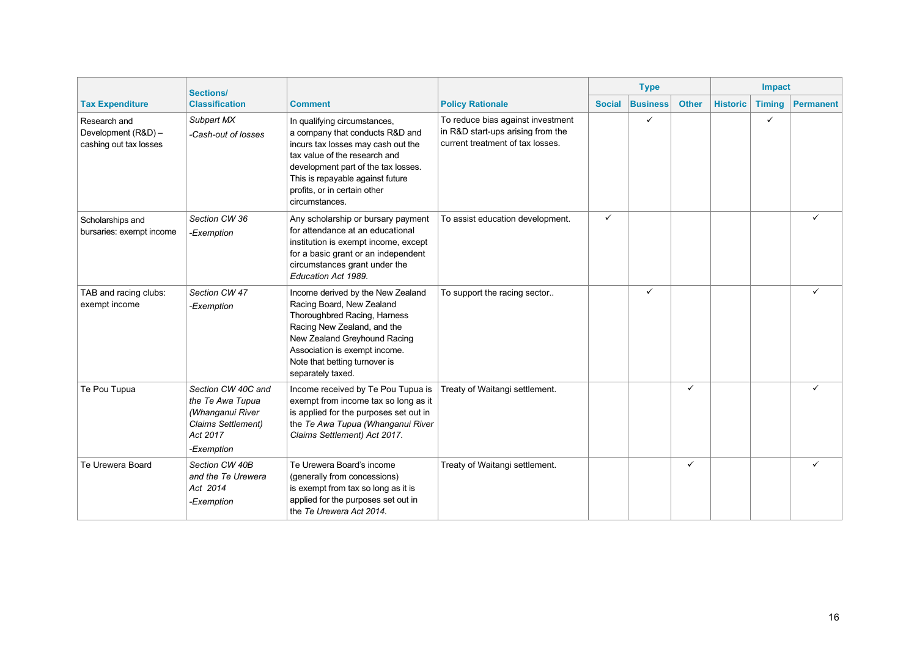|                                                               | <b>Sections/</b>                                                                                           | <b>Type</b>                                                                                                                                                                                                                                                         |                                                                                                            |               |                 | Impact       |                 |               |                  |
|---------------------------------------------------------------|------------------------------------------------------------------------------------------------------------|---------------------------------------------------------------------------------------------------------------------------------------------------------------------------------------------------------------------------------------------------------------------|------------------------------------------------------------------------------------------------------------|---------------|-----------------|--------------|-----------------|---------------|------------------|
| <b>Tax Expenditure</b>                                        | <b>Classification</b>                                                                                      | <b>Comment</b>                                                                                                                                                                                                                                                      | <b>Policy Rationale</b>                                                                                    | <b>Social</b> | <b>Business</b> | <b>Other</b> | <b>Historic</b> | <b>Timing</b> | <b>Permanent</b> |
| Research and<br>Development (R&D) -<br>cashing out tax losses | Subpart MX<br>-Cash-out of losses                                                                          | In qualifying circumstances,<br>a company that conducts R&D and<br>incurs tax losses may cash out the<br>tax value of the research and<br>development part of the tax losses.<br>This is repayable against future<br>profits, or in certain other<br>circumstances. | To reduce bias against investment<br>in R&D start-ups arising from the<br>current treatment of tax losses. |               | ✓               |              |                 | $\checkmark$  |                  |
| Scholarships and<br>bursaries: exempt income                  | Section CW 36<br>-Exemption                                                                                | Any scholarship or bursary payment<br>for attendance at an educational<br>institution is exempt income, except<br>for a basic grant or an independent<br>circumstances grant under the<br>Education Act 1989.                                                       | To assist education development.                                                                           | $\checkmark$  |                 |              |                 |               |                  |
| TAB and racing clubs:<br>exempt income                        | Section CW 47<br>-Exemption                                                                                | Income derived by the New Zealand<br>Racing Board, New Zealand<br>Thoroughbred Racing, Harness<br>Racing New Zealand, and the<br>New Zealand Greyhound Racing<br>Association is exempt income.<br>Note that betting turnover is<br>separately taxed.                | To support the racing sector                                                                               |               | ✓               |              |                 |               | ✓                |
| Te Pou Tupua                                                  | Section CW 40C and<br>the Te Awa Tupua<br>(Whanganui River<br>Claims Settlement)<br>Act 2017<br>-Exemption | Income received by Te Pou Tupua is<br>exempt from income tax so long as it<br>is applied for the purposes set out in<br>the Te Awa Tupua (Whanganui River<br>Claims Settlement) Act 2017.                                                                           | Treaty of Waitangi settlement.                                                                             |               |                 | ✓            |                 |               |                  |
| Te Urewera Board                                              | Section CW 40B<br>and the Te Urewera<br>Act 2014<br>-Exemption                                             | Te Urewera Board's income<br>(generally from concessions)<br>is exempt from tax so long as it is<br>applied for the purposes set out in<br>the Te Urewera Act 2014.                                                                                                 | Treaty of Waitangi settlement.                                                                             |               |                 | ✓            |                 |               | ✓                |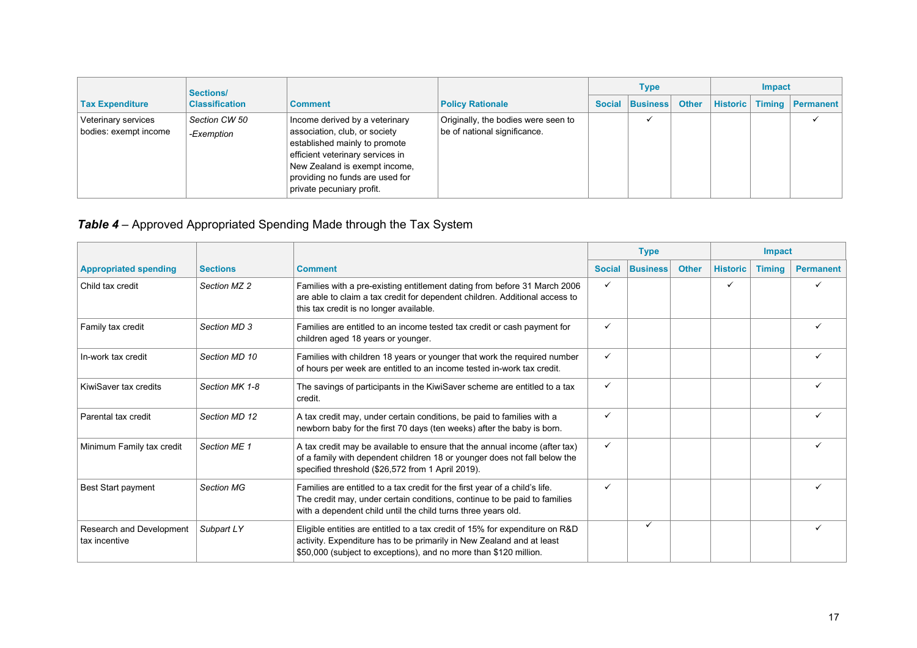|                                              | Sections/<br><b>Classification</b> |                                                                                                                                                                                                                                       | <b>Policy Rationale</b>                                             | Type |                 |              | Impact          |               |           |
|----------------------------------------------|------------------------------------|---------------------------------------------------------------------------------------------------------------------------------------------------------------------------------------------------------------------------------------|---------------------------------------------------------------------|------|-----------------|--------------|-----------------|---------------|-----------|
| <b>Tax Expenditure</b>                       |                                    | <b>Comment</b>                                                                                                                                                                                                                        |                                                                     |      | Social Business | <b>Other</b> | <b>Historic</b> | <b>Timing</b> | Permanent |
| Veterinary services<br>bodies: exempt income | Section CW 50<br>-Exemption        | Income derived by a veterinary<br>association, club, or society<br>established mainly to promote<br>efficient veterinary services in<br>New Zealand is exempt income,<br>providing no funds are used for<br>private pecuniary profit. | Originally, the bodies were seen to<br>be of national significance. |      |                 |              |                 |               |           |

## *Table 4* – Approved Appropriated Spending Made through the Tax System

|                                           |                   |                                                                                                                                                                                                                            |               | <b>Type</b>     |              |                 | <b>Impact</b> |                  |  |
|-------------------------------------------|-------------------|----------------------------------------------------------------------------------------------------------------------------------------------------------------------------------------------------------------------------|---------------|-----------------|--------------|-----------------|---------------|------------------|--|
| <b>Appropriated spending</b>              | <b>Sections</b>   | <b>Comment</b>                                                                                                                                                                                                             | <b>Social</b> | <b>Business</b> | <b>Other</b> | <b>Historic</b> | <b>Timing</b> | <b>Permanent</b> |  |
| Child tax credit                          | Section MZ 2      | Families with a pre-existing entitlement dating from before 31 March 2006<br>are able to claim a tax credit for dependent children. Additional access to<br>this tax credit is no longer available.                        | $\checkmark$  |                 |              | ✓               |               |                  |  |
| Family tax credit                         | Section MD 3      | Families are entitled to an income tested tax credit or cash payment for<br>children aged 18 years or younger.                                                                                                             | $\checkmark$  |                 |              |                 |               |                  |  |
| In-work tax credit                        | Section MD 10     | Families with children 18 years or younger that work the required number<br>of hours per week are entitled to an income tested in-work tax credit.                                                                         | $\checkmark$  |                 |              |                 |               |                  |  |
| KiwiSaver tax credits                     | Section MK 1-8    | The savings of participants in the KiwiSaver scheme are entitled to a tax<br>credit.                                                                                                                                       | $\checkmark$  |                 |              |                 |               |                  |  |
| Parental tax credit                       | Section MD 12     | A tax credit may, under certain conditions, be paid to families with a<br>newborn baby for the first 70 days (ten weeks) after the baby is born.                                                                           | $\checkmark$  |                 |              |                 |               |                  |  |
| Minimum Family tax credit                 | Section ME 1      | A tax credit may be available to ensure that the annual income (after tax)<br>of a family with dependent children 18 or younger does not fall below the<br>specified threshold (\$26,572 from 1 April 2019).               | $\checkmark$  |                 |              |                 |               |                  |  |
| Best Start payment                        | <b>Section MG</b> | Families are entitled to a tax credit for the first year of a child's life.<br>The credit may, under certain conditions, continue to be paid to families<br>with a dependent child until the child turns three years old.  | $\checkmark$  |                 |              |                 |               |                  |  |
| Research and Development<br>tax incentive | Subpart LY        | Eligible entities are entitled to a tax credit of 15% for expenditure on R&D<br>activity. Expenditure has to be primarily in New Zealand and at least<br>\$50,000 (subject to exceptions), and no more than \$120 million. |               | ✓               |              |                 |               |                  |  |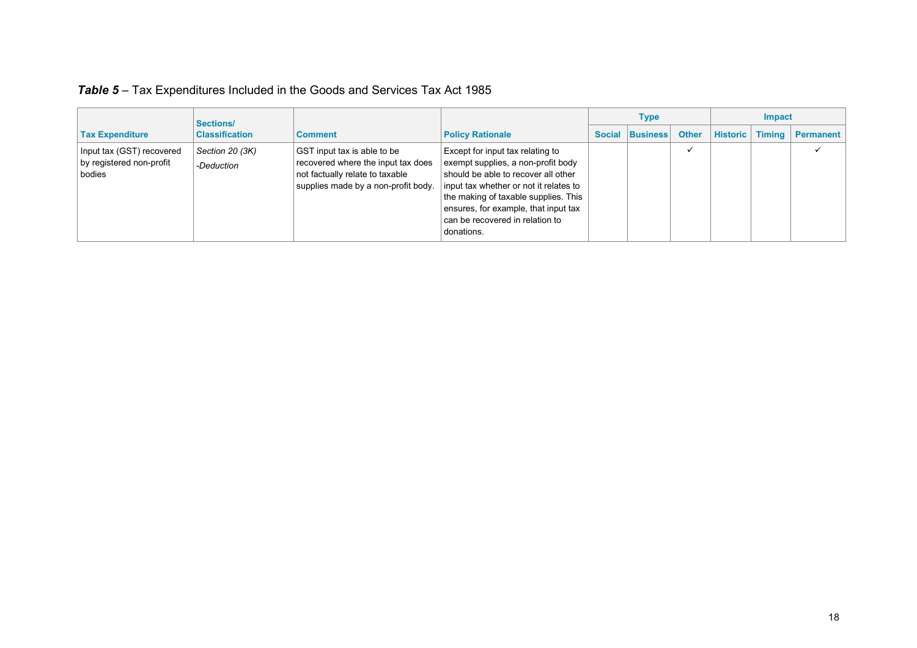|                                                                 | Sections/                     |                                                                                                                                             |                                                                                                                                                                                                                                                                                          | <b>Type</b>     | <b>Impact</b> |                        |  |                  |
|-----------------------------------------------------------------|-------------------------------|---------------------------------------------------------------------------------------------------------------------------------------------|------------------------------------------------------------------------------------------------------------------------------------------------------------------------------------------------------------------------------------------------------------------------------------------|-----------------|---------------|------------------------|--|------------------|
| <b>Tax Expenditure</b>                                          | <b>Classification</b>         | <b>Comment</b>                                                                                                                              | <b>Policy Rationale</b>                                                                                                                                                                                                                                                                  | Social Business | <b>Other</b>  | <b>Historic</b> Timing |  | <b>Permanent</b> |
| Input tax (GST) recovered<br>by registered non-profit<br>bodies | Section 20 (3K)<br>-Deduction | GST input tax is able to be<br>recovered where the input tax does<br>not factually relate to taxable<br>supplies made by a non-profit body. | Except for input tax relating to<br>exempt supplies, a non-profit body<br>should be able to recover all other<br>input tax whether or not it relates to<br>the making of taxable supplies. This<br>ensures, for example, that input tax<br>can be recovered in relation to<br>donations. |                 |               |                        |  |                  |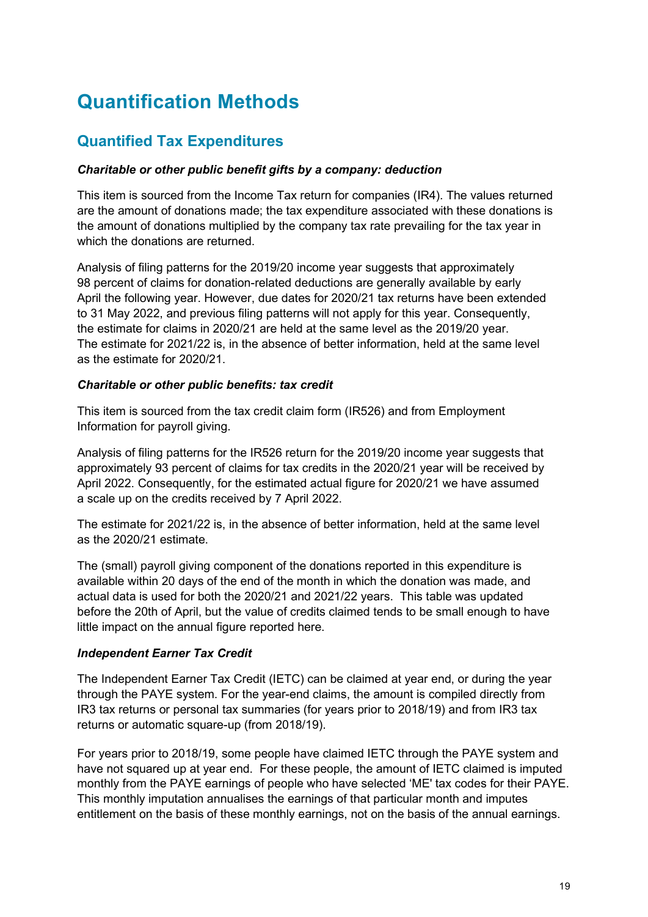# **Quantification Methods**

## **Quantified Tax Expenditures**

#### *Charitable or other public benefit gifts by a company: deduction*

This item is sourced from the Income Tax return for companies (IR4). The values returned are the amount of donations made; the tax expenditure associated with these donations is the amount of donations multiplied by the company tax rate prevailing for the tax year in which the donations are returned.

Analysis of filing patterns for the 2019/20 income year suggests that approximately 98 percent of claims for donation-related deductions are generally available by early April the following year. However, due dates for 2020/21 tax returns have been extended to 31 May 2022, and previous filing patterns will not apply for this year. Consequently, the estimate for claims in 2020/21 are held at the same level as the 2019/20 year. The estimate for 2021/22 is, in the absence of better information, held at the same level as the estimate for 2020/21.

#### *Charitable or other public benefits: tax credit*

This item is sourced from the tax credit claim form (IR526) and from Employment Information for payroll giving.

Analysis of filing patterns for the IR526 return for the 2019/20 income year suggests that approximately 93 percent of claims for tax credits in the 2020/21 year will be received by April 2022. Consequently, for the estimated actual figure for 2020/21 we have assumed a scale up on the credits received by 7 April 2022.

The estimate for 2021/22 is, in the absence of better information, held at the same level as the 2020/21 estimate.

The (small) payroll giving component of the donations reported in this expenditure is available within 20 days of the end of the month in which the donation was made, and actual data is used for both the 2020/21 and 2021/22 years. This table was updated before the 20th of April, but the value of credits claimed tends to be small enough to have little impact on the annual figure reported here.

#### *Independent Earner Tax Credit*

The Independent Earner Tax Credit (IETC) can be claimed at year end, or during the year through the PAYE system. For the year-end claims, the amount is compiled directly from IR3 tax returns or personal tax summaries (for years prior to 2018/19) and from IR3 tax returns or automatic square-up (from 2018/19).

For years prior to 2018/19, some people have claimed IETC through the PAYE system and have not squared up at year end. For these people, the amount of IETC claimed is imputed monthly from the PAYE earnings of people who have selected 'ME' tax codes for their PAYE. This monthly imputation annualises the earnings of that particular month and imputes entitlement on the basis of these monthly earnings, not on the basis of the annual earnings.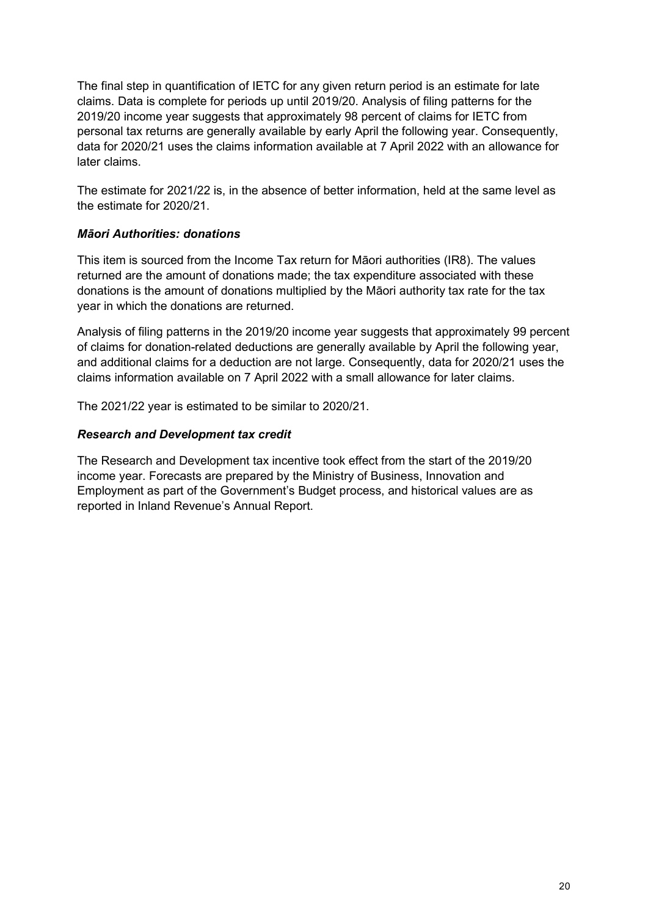The final step in quantification of IETC for any given return period is an estimate for late claims. Data is complete for periods up until 2019/20. Analysis of filing patterns for the 2019/20 income year suggests that approximately 98 percent of claims for IETC from personal tax returns are generally available by early April the following year. Consequently, data for 2020/21 uses the claims information available at 7 April 2022 with an allowance for later claims.

The estimate for 2021/22 is, in the absence of better information, held at the same level as the estimate for 2020/21.

#### *Māori Authorities: donations*

This item is sourced from the Income Tax return for Māori authorities (IR8). The values returned are the amount of donations made; the tax expenditure associated with these donations is the amount of donations multiplied by the Māori authority tax rate for the tax year in which the donations are returned.

Analysis of filing patterns in the 2019/20 income year suggests that approximately 99 percent of claims for donation-related deductions are generally available by April the following year, and additional claims for a deduction are not large. Consequently, data for 2020/21 uses the claims information available on 7 April 2022 with a small allowance for later claims.

The 2021/22 year is estimated to be similar to 2020/21.

#### *Research and Development tax credit*

The Research and Development tax incentive took effect from the start of the 2019/20 income year. Forecasts are prepared by the Ministry of Business, Innovation and Employment as part of the Government's Budget process, and historical values are as reported in Inland Revenue's Annual Report.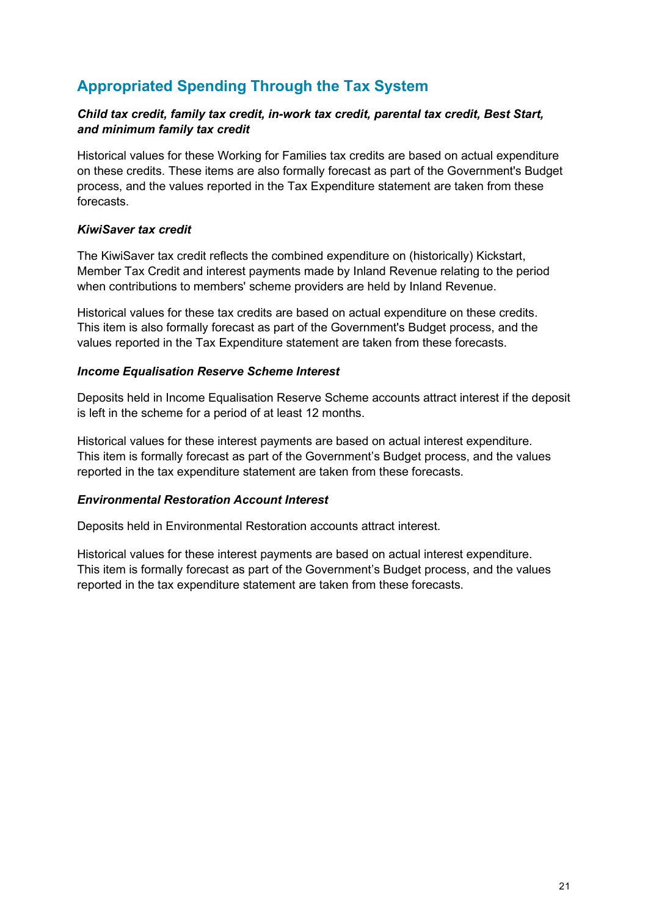## **Appropriated Spending Through the Tax System**

#### *Child tax credit, family tax credit, in-work tax credit, parental tax credit, Best Start, and minimum family tax credit*

Historical values for these Working for Families tax credits are based on actual expenditure on these credits. These items are also formally forecast as part of the Government's Budget process, and the values reported in the Tax Expenditure statement are taken from these forecasts.

#### *KiwiSaver tax credit*

The KiwiSaver tax credit reflects the combined expenditure on (historically) Kickstart, Member Tax Credit and interest payments made by Inland Revenue relating to the period when contributions to members' scheme providers are held by Inland Revenue.

Historical values for these tax credits are based on actual expenditure on these credits. This item is also formally forecast as part of the Government's Budget process, and the values reported in the Tax Expenditure statement are taken from these forecasts.

#### *Income Equalisation Reserve Scheme Interest*

Deposits held in Income Equalisation Reserve Scheme accounts attract interest if the deposit is left in the scheme for a period of at least 12 months.

Historical values for these interest payments are based on actual interest expenditure. This item is formally forecast as part of the Government's Budget process, and the values reported in the tax expenditure statement are taken from these forecasts.

#### *Environmental Restoration Account Interest*

Deposits held in Environmental Restoration accounts attract interest.

Historical values for these interest payments are based on actual interest expenditure. This item is formally forecast as part of the Government's Budget process, and the values reported in the tax expenditure statement are taken from these forecasts.